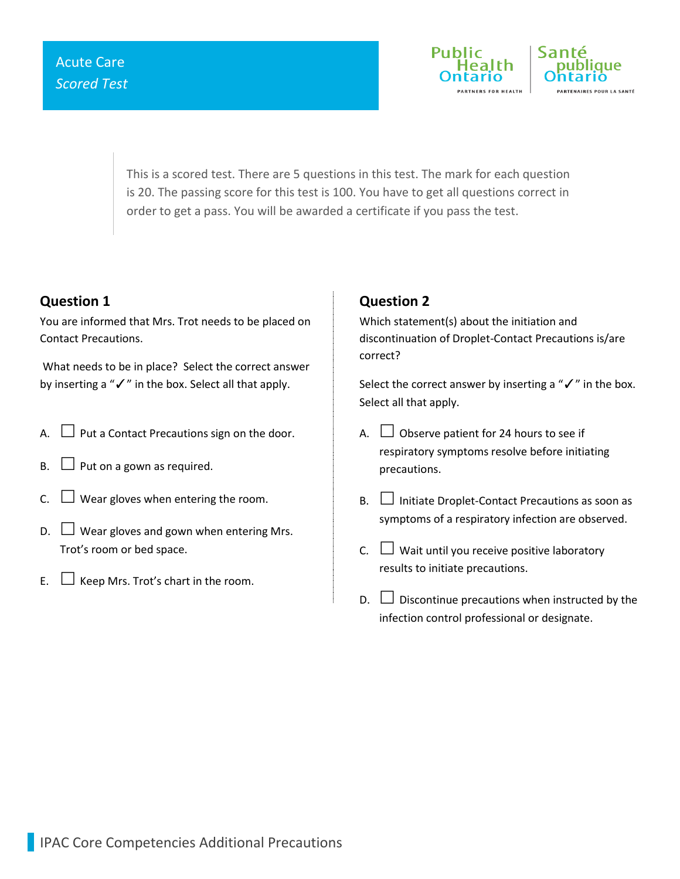

This is a scored test. There are 5 questions in this test. The mark for each question is 20. The passing score for this test is 100. You have to get all questions correct in order to get a pass. You will be awarded a certificate if you pass the test.

### **Question 1**

You are informed that Mrs. Trot needs to be placed on Contact Precautions.

What needs to be in place? Select the correct answer by inserting a "✓" in the box. Select all that apply.

- A.  $\Box$  Put a Contact Precautions sign on the door.
- $B. \Box$  Put on a gown as required.
- C.  $\Box$  Wear gloves when entering the room.
- $D.$  Wear gloves and gown when entering Mrs. Trot's room or bed space.
- E.  $\Box$  Keep Mrs. Trot's chart in the room.

## **Question 2**

Which statement(s) about the initiation and discontinuation of Droplet-Contact Precautions is/are correct?

Select the correct answer by inserting a "√" in the box. Select all that apply.

- A.  $\Box$  Observe patient for 24 hours to see if respiratory symptoms resolve before initiating precautions.
- $B.$  Initiate Droplet-Contact Precautions as soon as symptoms of a respiratory infection are observed.
- C.  $\Box$  Wait until you receive positive laboratory results to initiate precautions.
- $\Box$  Discontinue precautions when instructed by the infection control professional or designate.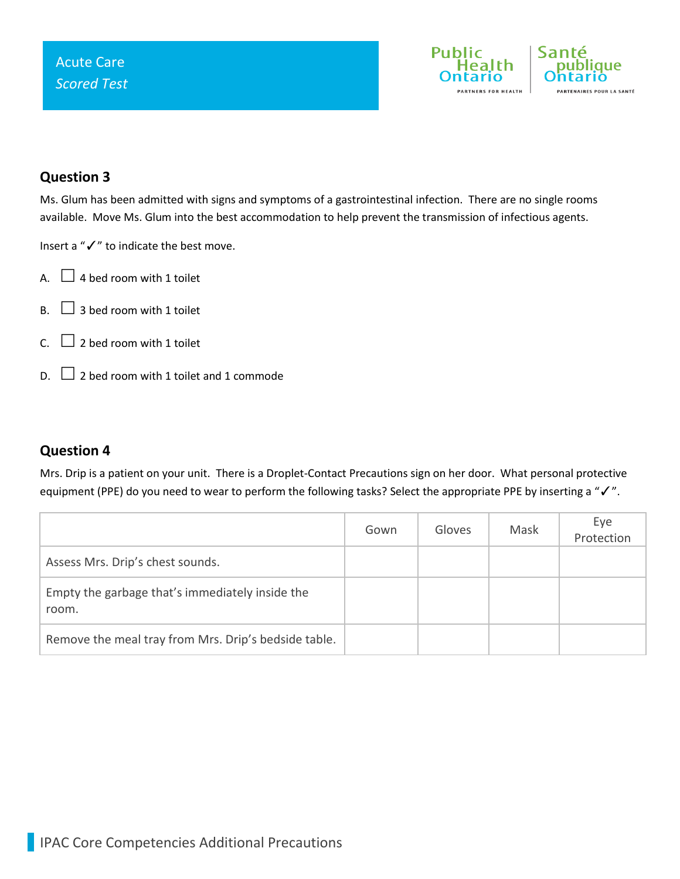

### **Question 3**

Ms. Glum has been admitted with signs and symptoms of a gastrointestinal infection. There are no single rooms available. Move Ms. Glum into the best accommodation to help prevent the transmission of infectious agents.

Insert a "✓" to indicate the best move.

- A.  $\Box$  4 bed room with 1 toilet
- $B. \Box$  3 bed room with 1 toilet
- C.  $\Box$  2 bed room with 1 toilet
- $\Box$  2 bed room with 1 toilet and 1 commode

### **Question 4**

Mrs. Drip is a patient on your unit. There is a Droplet-Contact Precautions sign on her door. What personal protective equipment (PPE) do you need to wear to perform the following tasks? Select the appropriate PPE by inserting a "√".

|                                                          | Gown | Gloves | Mask | Eye<br>Protection |
|----------------------------------------------------------|------|--------|------|-------------------|
| Assess Mrs. Drip's chest sounds.                         |      |        |      |                   |
| Empty the garbage that's immediately inside the<br>room. |      |        |      |                   |
| Remove the meal tray from Mrs. Drip's bedside table.     |      |        |      |                   |